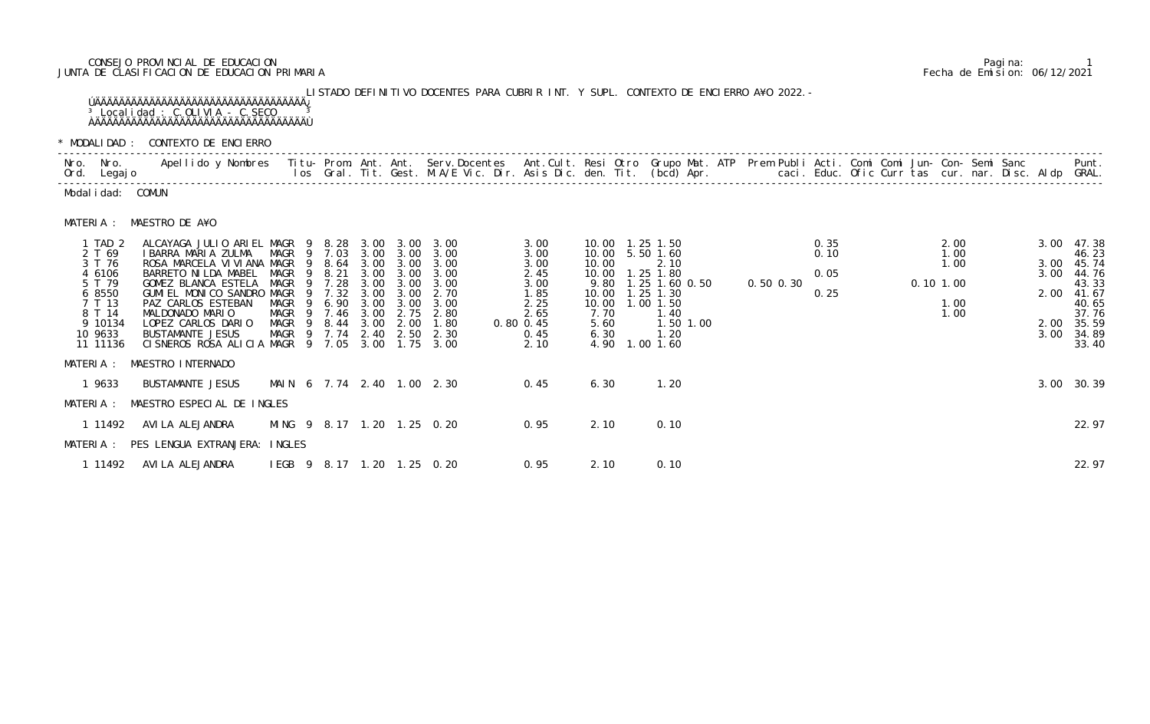# CONSEJO PROVINCIAL DE EDUCACION Pagina: 1 JUNTA DE CLASIFICACION DE EDUCACION PRIMARIA Fecha de Emision: 06/12/2021

 LISTADO DEFINITIVO DOCENTES PARA CUBRIR INT. Y SUPL. CONTEXTO DE ENCIERRO A¥O 2022.- ÚÄÄÄÄÄÄÄÄÄÄÄÄÄÄÄÄÄÄÄÄÄÄÄÄÄÄÄÄÄÄÄÄÄÄÄ¿  $3$  Localidad : C.OLIVIA - C.SECO  $3$ ÀÄÄÄÄÄÄÄÄÄÄÄÄÄÄÄÄÄÄÄÄÄÄÄÄÄÄÄÄÄÄÄÄÄÄÄÙ

\* MODALIDAD : CONTEXTO DE ENCIERRO

| Nro. Nro. | Ord. Legajo                                                                                                     | Apellido y Nombres  Titu- Prom. Ant. Ant.  Serv.Docentes  Ant.Cult. Resi Otro  Grupo Mat. ATP  Prem Publi Acti. Comi Comi Jun- Con- Semi Sanc              Punt.<br>Ios Gral. Tit. Gest. M.A/E Vic. Dir. Asis Dic. den. Tit. (bcd                                                 |                                                                                                      |                                                                               |                                                                              |                                                                                           |                                                                                      |                                                                                           |                                                                           |                                                                                                                                                  |               |                              |  |                                                     |  |                              |                                                                                                           |
|-----------|-----------------------------------------------------------------------------------------------------------------|-----------------------------------------------------------------------------------------------------------------------------------------------------------------------------------------------------------------------------------------------------------------------------------|------------------------------------------------------------------------------------------------------|-------------------------------------------------------------------------------|------------------------------------------------------------------------------|-------------------------------------------------------------------------------------------|--------------------------------------------------------------------------------------|-------------------------------------------------------------------------------------------|---------------------------------------------------------------------------|--------------------------------------------------------------------------------------------------------------------------------------------------|---------------|------------------------------|--|-----------------------------------------------------|--|------------------------------|-----------------------------------------------------------------------------------------------------------|
|           | Modal i dad: COMUN                                                                                              |                                                                                                                                                                                                                                                                                   |                                                                                                      |                                                                               |                                                                              |                                                                                           |                                                                                      |                                                                                           |                                                                           |                                                                                                                                                  |               |                              |  |                                                     |  |                              |                                                                                                           |
| MATERIA : |                                                                                                                 | MAESTRO DE A¥O                                                                                                                                                                                                                                                                    |                                                                                                      |                                                                               |                                                                              |                                                                                           |                                                                                      |                                                                                           |                                                                           |                                                                                                                                                  |               |                              |  |                                                     |  |                              |                                                                                                           |
|           | 1 TAD 2<br>2 T 69<br>3 T 76<br>4 6106<br>5 T 79<br>6 8550<br>7 T 13<br>8 T 14<br>9 10134<br>10 9633<br>11 11136 | ALCAYAGA JULIO ARIEL MAGR 9<br>I BARRA MARIA ZULMA<br>ROSA MARCELA VI VI ANA MAGR<br>BARRETO NI LDA MABEL<br>GOMEZ BLANCA ESTELA<br>GUMIEL MONICO SANDRO<br>PAZ CARLOS ESTEBAN<br>MALDONADO MARIO<br>LOPEZ CARLOS DARIO<br><b>BUSTAMANTE JESUS</b><br>CISNEROS ROSA ALICIA MAGR 9 | MAGR 9 7.03<br>-9<br><b>MAGR</b><br>MAGR<br>MAGR<br><b>MAGR</b><br>MAGR<br>MAGR<br>MAGR <sub>9</sub> | 8. 28<br>8.64<br>8.21<br>7.28<br>7.32<br>6.90<br>7.46<br>8.44<br>7.74<br>7.05 | 3.00<br>3.00<br>3.00<br>3.00<br>3.00<br>3.00<br>3.00<br>3.00<br>2.40<br>3.00 | 3.00<br>3.00 3.00<br>3.00<br>3.00<br>3.00<br>3.00<br>3.00<br>2.75<br>2.00<br>2.50<br>1.75 | 3.00<br>3.00<br>3.00<br>3.00<br>3.00<br>2.70<br>3.00<br>2.80<br>1.80<br>2.30<br>3.00 | 3.00<br>3.00<br>3.00<br>2.45<br>3.00<br>1.85<br>2.25<br>2.65<br>0.80 0.45<br>0.45<br>2.10 | 10.00<br>10.00<br>10.00<br>9.80<br>10.00<br>10.00<br>7.70<br>5.60<br>6.30 | 10.00  1.25  1.50<br>5.50 1.60<br>2.10<br>1.25 1.80<br>1.25 1.60 0.50<br>$1.25$ 1.30<br>1.00 1.50<br>1.40<br>1.50 1.00<br>1.20<br>4.90 1.00 1.60 | $0.50$ $0.30$ | 0.35<br>0.10<br>0.05<br>0.25 |  | 2.00<br>1.00<br>1.00<br>$0.10$ 1.00<br>1.00<br>1.00 |  | 3.00<br>3.00<br>3.00<br>3.00 | 47.38<br>46.23<br>45.74<br>44.76<br>43.33<br>2.00 41.67<br>40.65<br>37.76<br>2.00 35.59<br>34.89<br>33.40 |
|           | 1 9633                                                                                                          | MATERIA : MAESTRO INTERNADO<br>BUSTAMANTE JESUS                                                                                                                                                                                                                                   | MAIN 6 7.74 2.40 1.00 2.30                                                                           |                                                                               |                                                                              |                                                                                           |                                                                                      | 0.45                                                                                      | 6.30                                                                      | 1.20                                                                                                                                             |               |                              |  |                                                     |  | 3.00                         | 30.39                                                                                                     |
| MATERIA : |                                                                                                                 | MAESTRO ESPECIAL DE INGLES                                                                                                                                                                                                                                                        |                                                                                                      |                                                                               |                                                                              |                                                                                           |                                                                                      |                                                                                           |                                                                           |                                                                                                                                                  |               |                              |  |                                                     |  |                              |                                                                                                           |
|           | 1 11492                                                                                                         | AVI LA ALEJANDRA<br>MATERIA : PES LENGUA EXTRANJERA: INGLES                                                                                                                                                                                                                       | MING 9 8.17 1.20 1.25 0.20                                                                           |                                                                               |                                                                              |                                                                                           |                                                                                      | 0.95                                                                                      | 2.10                                                                      | 0.10                                                                                                                                             |               |                              |  |                                                     |  |                              | 22.97                                                                                                     |
|           | 1 11492                                                                                                         | AVI LA ALEJANDRA                                                                                                                                                                                                                                                                  | IEGB 9 8.17 1.20 1.25 0.20                                                                           |                                                                               |                                                                              |                                                                                           |                                                                                      | 0.95                                                                                      | 2.10                                                                      | 0.10                                                                                                                                             |               |                              |  |                                                     |  |                              | 22.97                                                                                                     |

|                                                                                                                 | MODALIDAD: CONTEXTO DE ENCIERRO                                                                                                                                                                                                                                                |                                                      |          |                                                                                             |                                                                              |                                                                                           |                                                                                      |               |                                                                              |                                                                                                                  |                                     |                                   |                             |           |                              |  |             |                                      |  |                                                      |                                                                                                           |
|-----------------------------------------------------------------------------------------------------------------|--------------------------------------------------------------------------------------------------------------------------------------------------------------------------------------------------------------------------------------------------------------------------------|------------------------------------------------------|----------|---------------------------------------------------------------------------------------------|------------------------------------------------------------------------------|-------------------------------------------------------------------------------------------|--------------------------------------------------------------------------------------|---------------|------------------------------------------------------------------------------|------------------------------------------------------------------------------------------------------------------|-------------------------------------|-----------------------------------|-----------------------------|-----------|------------------------------|--|-------------|--------------------------------------|--|------------------------------------------------------|-----------------------------------------------------------------------------------------------------------|
| Iro. Nro.<br>)rd. Legaj o                                                                                       | Apellido y Nombres Titu- Prom. Ant. Ant. Serv.Docentes Ant.Cult. Resi Otro Grupo Mat. ATP Prem Publi Acti. Comi Comi Jun- Con- Semi Sanc                                                                                                                                       |                                                      |          |                                                                                             |                                                                              |                                                                                           | los Gral. Tit. Gest. M.A/E Vic. Dir. Asis Dic. den. Tit. (bcd) Apr.                  |               |                                                                              |                                                                                                                  |                                     |                                   |                             |           |                              |  |             |                                      |  | caci. Educ. Ofic Curr tas cur. nar. Disc. Aldp GRAL. | Punt.                                                                                                     |
| Modalidad: COMUN                                                                                                |                                                                                                                                                                                                                                                                                |                                                      |          |                                                                                             |                                                                              |                                                                                           |                                                                                      |               |                                                                              |                                                                                                                  |                                     |                                   |                             |           |                              |  |             |                                      |  |                                                      |                                                                                                           |
| MATERIA :                                                                                                       | MAESTRO DE A¥O                                                                                                                                                                                                                                                                 |                                                      |          |                                                                                             |                                                                              |                                                                                           |                                                                                      |               |                                                                              |                                                                                                                  |                                     |                                   |                             |           |                              |  |             |                                      |  |                                                      |                                                                                                           |
| 1 TAD 2<br>2 T 69<br>3 T 76<br>4 6106<br>5 T 79<br>6 8550<br>7 T 13<br>8 T 14<br>9 10134<br>10 9633<br>11 11136 | ALCAYAGA JULIO ARIEL MAGR 9<br>I BARRA MARIA ZULMA<br>ROSA MARCELA VI VI ANA MAGR<br>BARRETO NI LDA MABEL<br>GOMEZ BLANCA ESTELA<br>GUMI EL MONICO SANDRO MAGR<br>PAZ CARLOS ESTEBAN<br>MALDONADO MARIO<br>LOPEZ CARLOS DARIO<br>BUSTAMANTE JESUS<br>CISNEROS ROSA ALICIA MAGR | MAGR<br>MAGR<br>MAGR<br>MAGR<br>MAGR<br>MAGR<br>MAGR | 9.<br>Q. | 8. 28<br>9 7.03<br>8.64<br>8.21<br>7.28<br>7.32<br>6.90<br>7.46<br>8.44<br>9 7.74<br>9 7.05 | 3.00<br>3.00<br>3.00<br>3.00<br>3.00<br>3.00<br>3.00<br>3.00<br>3.00<br>3.00 | 3.00<br>3.00<br>3.00<br>3.00<br>3.00<br>3.00<br>3.00<br>2.75<br>2.00<br>2.40 2.50<br>1.75 | 3.00<br>3.00<br>3.00<br>3.00<br>3.00<br>2.70<br>3.00<br>2.80<br>1.80<br>2.30<br>3.00 | $0.80$ $0.45$ | 3.00<br>3.00<br>3.00<br>2.45<br>3.00<br>1.85<br>2.25<br>2.65<br>0.45<br>2.10 | 10.00  1.25  1.50<br>10.00 5.50 1.60<br>10.00<br>10.00<br>9.80<br>10.00<br>10.00<br>7.70<br>5.60<br>6.30<br>4.90 | 1.25 1.30<br>1.00 1.50<br>1.00 1.60 | 2.10<br>1.25 1.80<br>1.40<br>1.20 | 1.25 1.60 0.50<br>1.50 1.00 | 0.50 0.30 | 0.35<br>0.10<br>0.05<br>0.25 |  | $0.10$ 1.00 | 2.00<br>1.00<br>1.00<br>1.00<br>1.00 |  | 3.00<br>3.00<br>3.00<br>2.00                         | 47.38<br>46.23<br>45.74<br>44.76<br>43.33<br>41.67<br>40.65<br>37.76<br>2.00 35.59<br>3.00 34.89<br>33.40 |
| AATERIA :                                                                                                       | MAESTRO INTERNADO                                                                                                                                                                                                                                                              |                                                      |          |                                                                                             |                                                                              |                                                                                           |                                                                                      |               |                                                                              |                                                                                                                  |                                     |                                   |                             |           |                              |  |             |                                      |  |                                                      |                                                                                                           |
| 1 9633                                                                                                          | BUSTAMANTE JESUS                                                                                                                                                                                                                                                               | MAIN 6 7.74 2.40 1.00 2.30                           |          |                                                                                             |                                                                              |                                                                                           |                                                                                      |               | 0.45                                                                         | 6.30                                                                                                             |                                     | 1.20                              |                             |           |                              |  |             |                                      |  |                                                      | 3.00 30.39                                                                                                |
| AATERIA :                                                                                                       | MAESTRO ESPECIAL DE INGLES                                                                                                                                                                                                                                                     |                                                      |          |                                                                                             |                                                                              |                                                                                           |                                                                                      |               |                                                                              |                                                                                                                  |                                     |                                   |                             |           |                              |  |             |                                      |  |                                                      |                                                                                                           |
| 1 11492                                                                                                         | AVI LA ALEJANDRA                                                                                                                                                                                                                                                               | MING 9 8.17 1.20 1.25 0.20                           |          |                                                                                             |                                                                              |                                                                                           |                                                                                      |               | 0.95                                                                         | 2.10                                                                                                             |                                     | 0.10                              |                             |           |                              |  |             |                                      |  |                                                      | 22.97                                                                                                     |
|                                                                                                                 | MATERIA : PES LENGUA EXTRANJERA: INGLES                                                                                                                                                                                                                                        |                                                      |          |                                                                                             |                                                                              |                                                                                           |                                                                                      |               |                                                                              |                                                                                                                  |                                     |                                   |                             |           |                              |  |             |                                      |  |                                                      |                                                                                                           |
| 1 11492                                                                                                         | AVI LA ALEJANDRA                                                                                                                                                                                                                                                               | IEGB 9 8.17 1.20 1.25 0.20                           |          |                                                                                             |                                                                              |                                                                                           |                                                                                      |               | 0.95                                                                         | 2.10                                                                                                             |                                     | 0.10                              |                             |           |                              |  |             |                                      |  |                                                      | 22.97                                                                                                     |
|                                                                                                                 |                                                                                                                                                                                                                                                                                |                                                      |          |                                                                                             |                                                                              |                                                                                           |                                                                                      |               |                                                                              |                                                                                                                  |                                     |                                   |                             |           |                              |  |             |                                      |  |                                                      |                                                                                                           |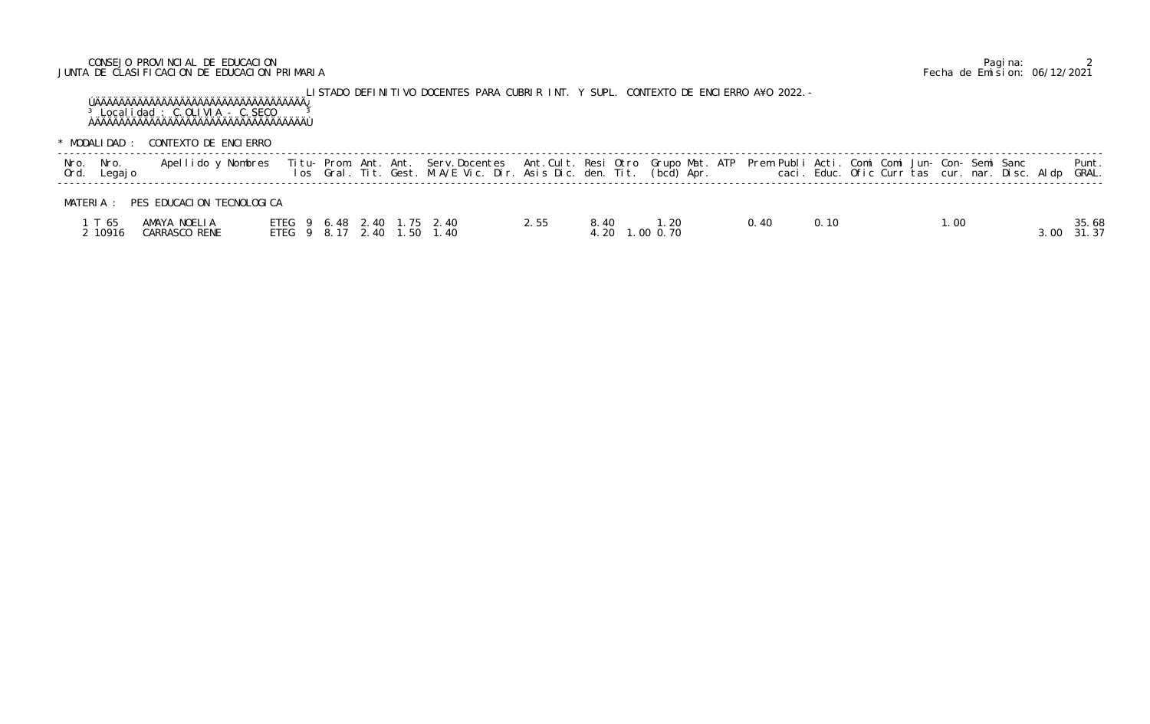# CONSEJO PROVINCIAL DE EDUCACION Pagina: 2 JUNTA DE CLASIFICACION DE EDUCACION PRIMARIA Fecha de Emision: 06/12/2021

LISTADO DEFINITIVO DOCENTES PARA CUBRIR INT. Y SUPL. CONTEXTO DE ENCIERRO A¥O 2022.- ÚÄÄÄÄÄÄÄÄÄÄÄÄÄÄÄÄÄÄÄÄÄÄÄÄÄÄÄÄÄÄÄÄÄÄÄ¿  $3$  Localidad : C.OLIVIA - C.SECO  $3$ ÀÄÄÄÄÄÄÄÄÄÄÄÄÄÄÄÄÄÄÄÄÄÄÄÄÄÄÄÄÄÄÄÄÄÄÄÙ

\* MODALIDAD : CONTEXTO DE ENCIERRO

| Nro. Nro.<br>Ord. Legajo | Apellido y Nombres            |  |  | Titu- Prom. Ant. Ant. Serv.Docentes Ant.Cult. Resi Otro Grupo Mat. ATP Prem Publi Acti. Comi Comi Jun- Con- Semi Sanc         Punt.<br>Ios Gral. Tit. Gest. M.A/E Vic. Dir. Asis Dic. den. Tit. (bcd) Apr.           caci. Educ. |      |      |                        |      |      |  |      |       |                |
|--------------------------|-------------------------------|--|--|----------------------------------------------------------------------------------------------------------------------------------------------------------------------------------------------------------------------------------|------|------|------------------------|------|------|--|------|-------|----------------|
| MATFRIA ·                | PES EDUCACION TECNOLOGICA     |  |  |                                                                                                                                                                                                                                  |      |      |                        |      |      |  |      |       |                |
| T 65<br>2 10916          | AMAYA NOELIA<br>CARRASCO RENE |  |  | ETEG 9 6.48 2.40 1.75 2.40<br>ETEG 9 8.17 2.40 1.50 1.40                                                                                                                                                                         | 2.55 | 8.40 | 1.20<br>4.20 1.00 0.70 | 0.40 | 0.10 |  | 1.00 | 3. UU | 35.68<br>31.37 |

# MATERIA : PES EDUCACION TECNOLOGICA